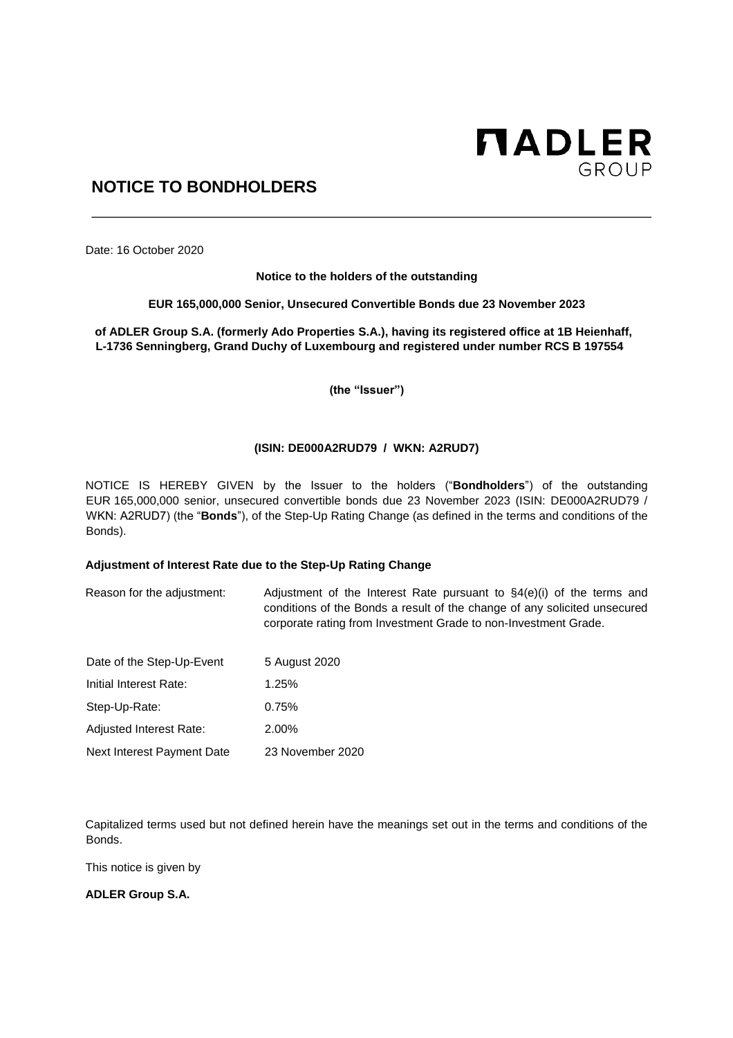

# **NOTICE TO BONDHOLDERS**

Date: 16 October 2020

**Notice to the holders of the outstanding** 

**EUR 165,000,000 Senior, Unsecured Convertible Bonds due 23 November 2023** 

**of ADLER Group S.A. (formerly Ado Properties S.A.), having its registered office at 1B Heienhaff, L-1736 Senningberg, Grand Duchy of Luxembourg and registered under number RCS B 197554** 

**(the "Issuer")** 

## **(ISIN: DE000A2RUD79 / WKN: A2RUD7)**

NOTICE IS HEREBY GIVEN by the Issuer to the holders ("**Bondholders**") of the outstanding EUR 165,000,000 senior, unsecured convertible bonds due 23 November 2023 (ISIN: DE000A2RUD79 / WKN: A2RUD7) (the "**Bonds**"), of the Step-Up Rating Change (as defined in the terms and conditions of the Bonds).

## **Adjustment of Interest Rate due to the Step-Up Rating Change**

Reason for the adjustment: Adjustment of the Interest Rate pursuant to  $\S4(e)(i)$  of the terms and conditions of the Bonds a result of the change of any solicited unsecured corporate rating from Investment Grade to non-Investment Grade.

| Date of the Step-Up-Event  | 5 August 2020    |
|----------------------------|------------------|
| Initial Interest Rate:     | 1.25%            |
| Step-Up-Rate:              | 0.75%            |
| Adjusted Interest Rate:    | 2.00%            |
| Next Interest Payment Date | 23 November 2020 |

Capitalized terms used but not defined herein have the meanings set out in the terms and conditions of the Bonds.

This notice is given by

**ADLER Group S.A.**